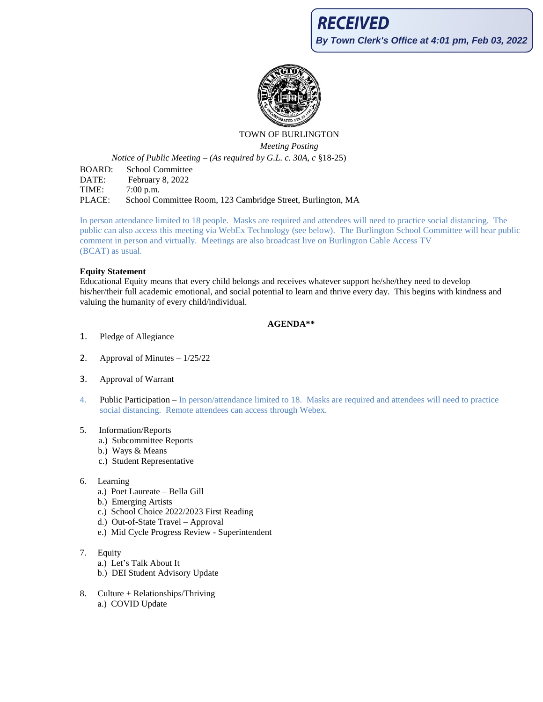

# TOWN OF BURLINGTON *Meeting Posting*

*Notice of Public Meeting – (As required by G.L. c. 30A, c* §18-25)

BOARD: School Committee DATE: February 8, 2022 TIME: 7:00 p.m. PLACE: School Committee Room, 123 Cambridge Street, Burlington, MA

In person attendance limited to 18 people. Masks are required and attendees will need to practice social distancing. The public can also access this meeting via WebEx Technology (see below). The Burlington School Committee will hear public comment in person and virtually. Meetings are also broadcast live on Burlington Cable Access TV (BCAT) as usual.

### **Equity Statement**

Educational Equity means that every child belongs and receives whatever support he/she/they need to develop his/her/their full academic emotional, and social potential to learn and thrive every day. This begins with kindness and valuing the humanity of every child/individual.

# **AGENDA\*\***

- 1. Pledge of Allegiance
- 2. Approval of Minutes  $-1/25/22$
- 3. Approval of Warrant
- 4. Public Participation In person/attendance limited to 18. Masks are required and attendees will need to practice social distancing. Remote attendees can access through Webex.

#### 5. Information/Reports

- a.) Subcommittee Reports
- b.) Ways & Means
- c.) Student Representative
- 6. Learning
	- a.) Poet Laureate Bella Gill
	- b.) Emerging Artists
	- c.) School Choice 2022/2023 First Reading
	- d.) Out-of-State Travel Approval
	- e.) Mid Cycle Progress Review Superintendent
- 7. Equity
	- a.) Let's Talk About It
	- b.) DEI Student Advisory Update
- 8. Culture + Relationships/Thriving a.) COVID Update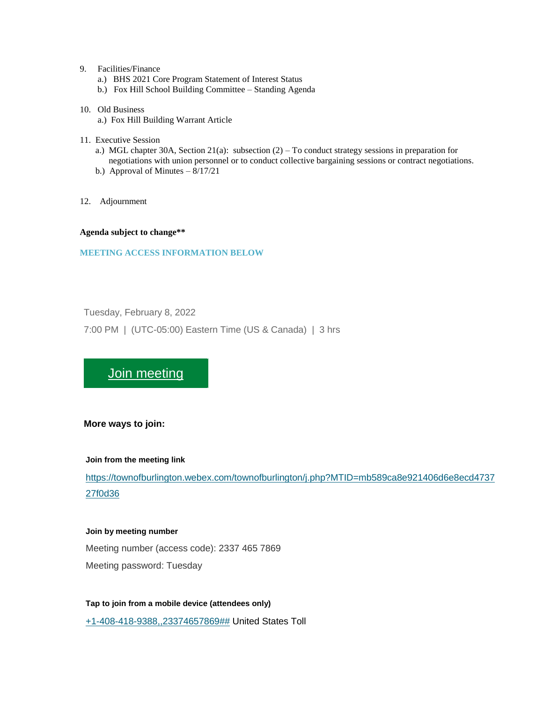### 9. Facilities/Finance

- a.) BHS 2021 Core Program Statement of Interest Status
- b.) Fox Hill School Building Committee Standing Agenda

#### 10. Old Business

- a.) Fox Hill Building Warrant Article
- 11. Executive Session
	- a.) MGL chapter 30A, Section 21(a): subsection  $(2)$  To conduct strategy sessions in preparation for negotiations with union personnel or to conduct collective bargaining sessions or contract negotiations.
	- b.) Approval of Minutes  $-8/17/21$
- 12. Adjournment

**Agenda subject to change\*\***

### **MEETING ACCESS INFORMATION BELOW**

Tuesday, February 8, 2022

7:00 PM | (UTC-05:00) Eastern Time (US & Canada) | 3 hrs

[Join meeting](https://townofburlington.webex.com/townofburlington/j.php?MTID=mb589ca8e921406d6e8ecd473727f0d36)

# **More ways to join:**

#### **Join from the meeting link**

[https://townofburlington.webex.com/townofburlington/j.php?MTID=mb589ca8e921406d6e8ecd4737](https://townofburlington.webex.com/townofburlington/j.php?MTID=mb589ca8e921406d6e8ecd473727f0d36) [27f0d36](https://townofburlington.webex.com/townofburlington/j.php?MTID=mb589ca8e921406d6e8ecd473727f0d36)

### **Join by meeting number**

Meeting number (access code): 2337 465 7869 Meeting password: Tuesday

**Tap to join from a mobile device (attendees only)** [+1-408-418-9388,,23374657869##](tel:%2B1-408-418-9388,,*01*23374657869%23%23*01*) United States Toll